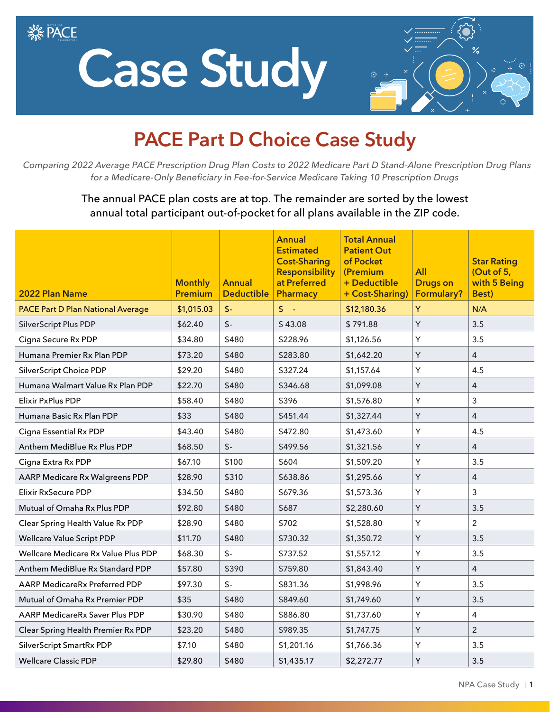**SE PACE** 

## **Case Study**



## **PACE Part D Choice Case Study**

 *Comparing 2022 Average PACE Prescription Drug Plan Costs to 2022 Medicare Part D Stand-Alone Prescription Drug Plans for a Medicare-Only Beneficiary in Fee-for-Service Medicare Taking 10 Prescription Drugs*

> The annual PACE plan costs are at top. The remainder are sorted by the lowest annual total participant out-of-pocket for all plans available in the ZIP code.

| 2022 Plan Name                           | <b>Monthly</b><br><b>Premium</b> | <b>Annual</b><br><b>Deductible</b> | <b>Annual</b><br><b>Estimated</b><br><b>Cost-Sharing</b><br><b>Responsibility</b><br>at Preferred<br><b>Pharmacy</b> | <b>Total Annual</b><br><b>Patient Out</b><br>of Pocket<br>(Premium<br>+ Deductible<br>+ Cost-Sharing) | All<br><b>Drugs on</b><br>Formulary? | <b>Star Rating</b><br>(Out of 5,<br>with 5 Being<br><b>Best</b> ) |
|------------------------------------------|----------------------------------|------------------------------------|----------------------------------------------------------------------------------------------------------------------|-------------------------------------------------------------------------------------------------------|--------------------------------------|-------------------------------------------------------------------|
| <b>PACE Part D Plan National Average</b> | \$1,015.03                       | $\mathsf{L}$                       | $\frac{1}{2}$ .                                                                                                      | \$12,180.36                                                                                           | Y                                    | N/A                                                               |
| SilverScript Plus PDP                    | \$62.40                          | $$-$                               | \$43.08                                                                                                              | \$791.88                                                                                              | Υ                                    | 3.5                                                               |
| Cigna Secure Rx PDP                      | \$34.80                          | \$480                              | \$228.96                                                                                                             | \$1,126.56                                                                                            | Υ                                    | 3.5                                                               |
| Humana Premier Rx Plan PDP               | \$73.20                          | \$480                              | \$283.80                                                                                                             | \$1,642.20                                                                                            | Y                                    | 4                                                                 |
| SilverScript Choice PDP                  | \$29.20                          | \$480                              | \$327.24                                                                                                             | \$1,157.64                                                                                            | Y                                    | 4.5                                                               |
| Humana Walmart Value Rx Plan PDP         | \$22.70                          | \$480                              | \$346.68                                                                                                             | \$1,099.08                                                                                            | Y                                    | 4                                                                 |
| <b>Elixir PxPlus PDP</b>                 | \$58.40                          | \$480                              | \$396                                                                                                                | \$1,576.80                                                                                            | Υ                                    | 3                                                                 |
| Humana Basic Rx Plan PDP                 | \$33                             | \$480                              | \$451.44                                                                                                             | \$1,327.44                                                                                            | Y                                    | $\overline{4}$                                                    |
| Cigna Essential Rx PDP                   | \$43.40                          | \$480                              | \$472.80                                                                                                             | \$1,473.60                                                                                            | Y                                    | 4.5                                                               |
| Anthem MediBlue Rx Plus PDP              | \$68.50                          | $$-$                               | \$499.56                                                                                                             | \$1,321.56                                                                                            | Υ                                    | $\overline{4}$                                                    |
| Cigna Extra Rx PDP                       | \$67.10                          | \$100                              | \$604                                                                                                                | \$1,509.20                                                                                            | Υ                                    | 3.5                                                               |
| AARP Medicare Rx Walgreens PDP           | \$28.90                          | \$310                              | \$638.86                                                                                                             | \$1,295.66                                                                                            | Y                                    | 4                                                                 |
| Elixir RxSecure PDP                      | \$34.50                          | \$480                              | \$679.36                                                                                                             | \$1,573.36                                                                                            | Y                                    | 3                                                                 |
| Mutual of Omaha Rx Plus PDP              | \$92.80                          | \$480                              | \$687                                                                                                                | \$2,280.60                                                                                            | Y                                    | 3.5                                                               |
| Clear Spring Health Value Rx PDP         | \$28.90                          | \$480                              | \$702                                                                                                                | \$1,528.80                                                                                            | Υ                                    | $\overline{2}$                                                    |
| <b>Wellcare Value Script PDP</b>         | \$11.70                          | \$480                              | \$730.32                                                                                                             | \$1,350.72                                                                                            | Y                                    | 3.5                                                               |
| Wellcare Medicare Rx Value Plus PDP      | \$68.30                          | $\mathsf{S}$ -                     | \$737.52                                                                                                             | \$1,557.12                                                                                            | Y                                    | 3.5                                                               |
| Anthem MediBlue Rx Standard PDP          | \$57.80                          | \$390                              | \$759.80                                                                                                             | \$1,843.40                                                                                            | Υ                                    | $\overline{4}$                                                    |
| AARP MedicareRx Preferred PDP            | \$97.30                          | $$-$                               | \$831.36                                                                                                             | \$1,998.96                                                                                            | Y                                    | 3.5                                                               |
| Mutual of Omaha Rx Premier PDP           | \$35                             | \$480                              | \$849.60                                                                                                             | \$1,749.60                                                                                            | Y                                    | 3.5                                                               |
| AARP MedicareRx Saver Plus PDP           | \$30.90                          | \$480                              | \$886.80                                                                                                             | \$1,737.60                                                                                            | Υ                                    | 4                                                                 |
| Clear Spring Health Premier Rx PDP       | \$23.20                          | \$480                              | \$989.35                                                                                                             | \$1,747.75                                                                                            | Y                                    | $\overline{2}$                                                    |
| SilverScript SmartRx PDP                 | \$7.10                           | \$480                              | \$1,201.16                                                                                                           | \$1,766.36                                                                                            | Y                                    | 3.5                                                               |
| <b>Wellcare Classic PDP</b>              | \$29.80                          | \$480                              | \$1,435.17                                                                                                           | \$2,272.77                                                                                            | Y                                    | 3.5                                                               |